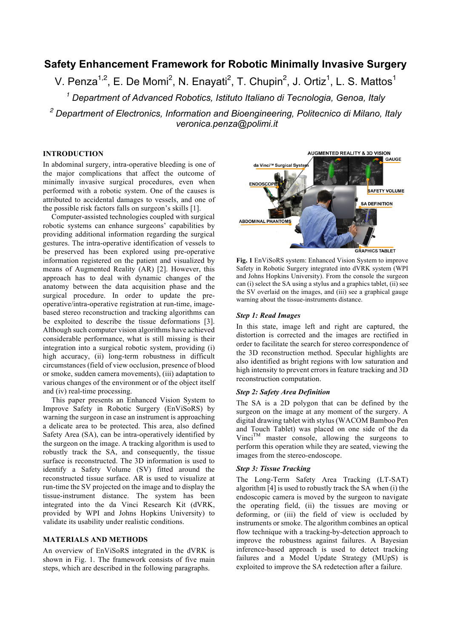# **Safety Enhancement Framework for Robotic Minimally Invasive Surgery**

V. Penza<sup>1,2</sup>, E. De Momi<sup>2</sup>, N. Enayati<sup>2</sup>, T. Chupin<sup>2</sup>, J. Ortiz<sup>1</sup>, L. S. Mattos<sup>1</sup>

*<sup>1</sup> Department of Advanced Robotics, Istituto Italiano di Tecnologia, Genoa, Italy*

*<sup>2</sup> Department of Electronics, Information and Bioengineering, Politecnico di Milano, Italy veronica.penza@polimi.it*

# **INTRODUCTION**

In abdominal surgery, intra-operative bleeding is one of the major complications that affect the outcome of minimally invasive surgical procedures, even when performed with a robotic system. One of the causes is attributed to accidental damages to vessels, and one of the possible risk factors falls on surgeon's skills [1].

Computer-assisted technologies coupled with surgical robotic systems can enhance surgeons' capabilities by providing additional information regarding the surgical gestures. The intra-operative identification of vessels to be preserved has been explored using pre-operative information registered on the patient and visualized by means of Augmented Reality (AR) [2]. However, this approach has to deal with dynamic changes of the anatomy between the data acquisition phase and the surgical procedure. In order to update the preoperative/intra-operative registration at run-time, imagebased stereo reconstruction and tracking algorithms can be exploited to describe the tissue deformations [3]. Although such computer vision algorithms have achieved considerable performance, what is still missing is their integration into a surgical robotic system, providing (i) high accuracy, (ii) long-term robustness in difficult circumstances (field of view occlusion, presence of blood or smoke, sudden camera movements), (iii) adaptation to various changes of the environment or of the object itself and (iv) real-time processing.

This paper presents an Enhanced Vision System to Improve Safety in Robotic Surgery (EnViSoRS) by warning the surgeon in case an instrument is approaching a delicate area to be protected. This area, also defined Safety Area (SA), can be intra-operatively identified by the surgeon on the image. A tracking algorithm is used to robustly track the SA, and consequently, the tissue surface is reconstructed. The 3D information is used to identify a Safety Volume (SV) fitted around the reconstructed tissue surface. AR is used to visualize at run-time the SV projected on the image and to display the tissue-instrument distance. The system has been integrated into the da Vinci Research Kit (dVRK, provided by WPI and Johns Hopkins University) to validate its usability under realistic conditions.

#### **MATERIALS AND METHODS**

An overview of EnViSoRS integrated in the dVRK is shown in Fig. 1. The framework consists of five main steps, which are described in the following paragraphs.



**Fig. 1** EnViSoRS system: Enhanced Vision System to improve Safety in Robotic Surgery integrated into dVRK system (WPI and Johns Hopkins University). From the console the surgeon can (i) select the SA using a stylus and a graphics tablet, (ii) see the SV overlaid on the images, and (iii) see a graphical gauge warning about the tissue-instruments distance.

#### *Step 1: Read Images*

In this state, image left and right are captured, the distortion is corrected and the images are rectified in order to facilitate the search for stereo correspondence of the 3D reconstruction method. Specular highlights are also identified as bright regions with low saturation and high intensity to prevent errors in feature tracking and 3D reconstruction computation.

#### *Step 2: Safety Area Definition*

The SA is a 2D polygon that can be defined by the surgeon on the image at any moment of the surgery. A digital drawing tablet with stylus (WACOM Bamboo Pen and Touch Tablet) was placed on one side of the da  $Vinci^{TM}$  master console, allowing the surgeons to perform this operation while they are seated, viewing the images from the stereo-endoscope.

# *Step 3: Tissue Tracking*

The Long-Term Safety Area Tracking (LT-SAT) algorithm [4] is used to robustly track the SA when (i) the endoscopic camera is moved by the surgeon to navigate the operating field, (ii) the tissues are moving or deforming, or (iii) the field of view is occluded by instruments or smoke. The algorithm combines an optical flow technique with a tracking-by-detection approach to improve the robustness against failures. A Bayesian inference-based approach is used to detect tracking failures and a Model Update Strategy (MUpS) is exploited to improve the SA redetection after a failure.